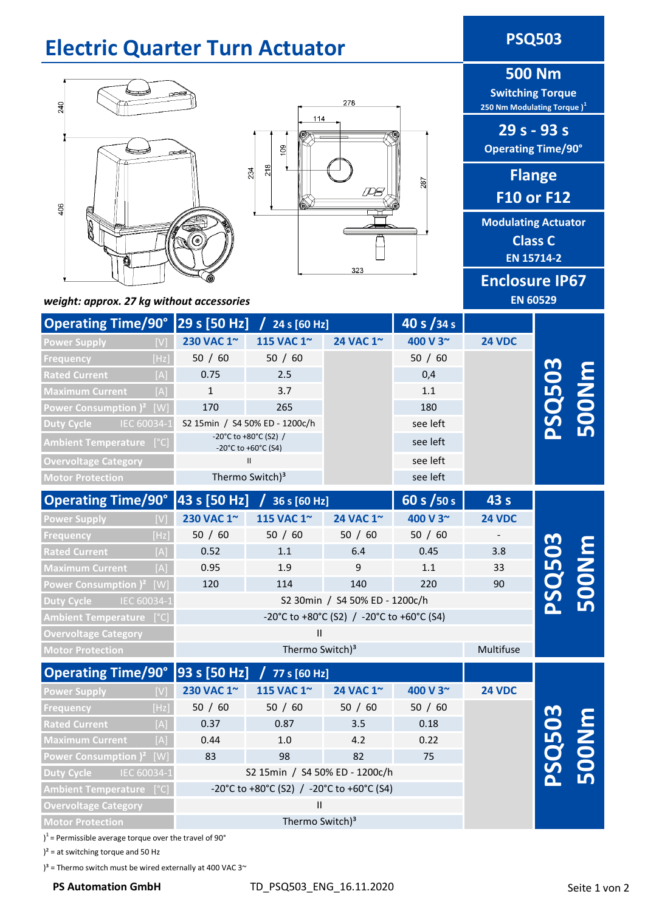### **Electric Quarter Turn Actuator <b>PSQ503**

# 240 406



**500 Nm**

**Switching Torque 250 Nm Modulating Torque )<sup>1</sup>**

**29 s - 93 s Operating Time/90°**

> **Flange F10 or F12**

**Modulating Actuator Class C EN 15714-2**

**Enclosure IP67 EN 60529**

*weight: approx. 27 kg without accessories*

| Operating Time/90° 29 s [50 Hz] / 24 s [60 Hz] |      |                                              |                                |           | 40 s $/34 s$ |               |              |  |
|------------------------------------------------|------|----------------------------------------------|--------------------------------|-----------|--------------|---------------|--------------|--|
| <b>Power Supply</b>                            |      | 230 VAC 1~                                   | 115 VAC 1~                     | 24 VAC 1~ | 400 V 3~     | <b>24 VDC</b> |              |  |
| Frequency                                      | [Hz] | 50 / 60                                      | 50 / 60                        |           | 50 / 60      |               |              |  |
| <b>Rated Current</b>                           | [A]  | 0.75                                         | 2.5                            |           | 0,4          |               | <b>SQ503</b> |  |
| <b>Maximum Current</b>                         | [A]  | $\mathbf{1}$                                 | 3.7                            |           | 1.1          |               |              |  |
| Power Consumption $)^2$ [W]                    |      | 170                                          | 265                            |           | 180          |               |              |  |
| Duty Cycle<br>IEC 60034-1                      |      | S2 15min / S4 50% ED - 1200c/h               |                                |           | see left     |               |              |  |
| Ambient Temperature [°C]                       |      | -20°C to +80°C (S2) /<br>-20°C to +60°C (S4) |                                |           | see left     |               |              |  |
| <b>Overvoltage Category</b>                    |      | $\mathbf{II}$                                |                                |           | see left     |               |              |  |
| <b>Motor Protection</b>                        |      |                                              | Thermo Switch) <sup>3</sup>    |           | see left     |               |              |  |
| <b>Operating Time/90°</b>                      |      | 43 s [50 Hz]                                 | $/$ 36 s [60 Hz]               |           | 60 s / 50 s  | 43 s          |              |  |
| <b>Power Supply</b>                            |      | 230 VAC 1~                                   | 115 VAC 1~                     | 24 VAC 1~ | 400 V 3~     | <b>24 VDC</b> |              |  |
| Frequency                                      | [Hz] | 50 / 60                                      | 50 / 60                        | 50 / 60   | 50 / 60      |               |              |  |
| <b>Rated Current</b>                           | [A]  | 0.52                                         | $1.1\,$                        | 6.4       | 0.45         | 3.8           |              |  |
| <b>Maximum Current</b>                         | [A]  | 0.95                                         | 1.9                            | 9         | 1.1          | 33            |              |  |
| Power Consumption $)^2$ [W]                    |      | 120                                          | 114                            | 140       | 220          | 90            | <b>SQ503</b> |  |
| Duty Cycle<br>IEC 60034-1                      |      |                                              | S2 30min / S4 50% ED - 1200c/h |           |              |               |              |  |
| Ambient Temperature [°C]                       |      | -20°C to +80°C (S2) / -20°C to +60°C (S4)    |                                |           |              |               |              |  |
| <b>Overvoltage Category</b>                    |      |                                              | $\mathbf{H}$                   |           |              |               |              |  |
| <b>Motor Protection</b>                        |      |                                              | Thermo Switch) <sup>3</sup>    |           |              | Multifuse     |              |  |
| <b>Operating Time/90°</b>                      |      | 93 s [50 Hz]                                 | / 77 s [60 Hz]                 |           |              |               |              |  |
| <b>Power Supply</b>                            | [V]  | 230 VAC 1~                                   | 115 VAC 1~                     | 24 VAC 1~ | 400 V 3~     | <b>24 VDC</b> |              |  |
| Frequency                                      | [Hz] | 50 / 60                                      | 50 / 60                        | 50 / 60   | 50 / 60      |               |              |  |
| <b>Rated Current</b>                           | [A]  | 0.37                                         | 0.87                           | 3.5       | 0.18         |               | 0503         |  |
| <b>Maximum Current</b>                         | [A]  | 0.44                                         | 1.0                            | 4.2       | 0.22         |               |              |  |
| Power Consumption $)^2$ [W]                    |      | 83                                           | 98                             | 82        | 75           |               |              |  |
| <b>Duty Cycle</b><br>IEC 60034-1               |      |                                              | S2 15min / S4 50% ED - 1200c/h |           |              |               |              |  |
| <b>Ambient Temperature</b> [°C]                |      | -20°C to +80°C (S2) / -20°C to +60°C (S4)    |                                |           |              |               |              |  |
| <b>Overvoltage Category</b>                    |      | Ш<br>Thermo Switch) <sup>3</sup>             |                                |           |              |               |              |  |
| <b>Motor Protection</b>                        |      |                                              |                                |           |              |               |              |  |

 $1$ <sup>1</sup> = Permissible average torque over the travel of 90 $^{\circ}$ 

 $)^{2}$  = at switching torque and 50 Hz

 $3^3$  = Thermo switch must be wired externally at 400 VAC 3 $\sim$